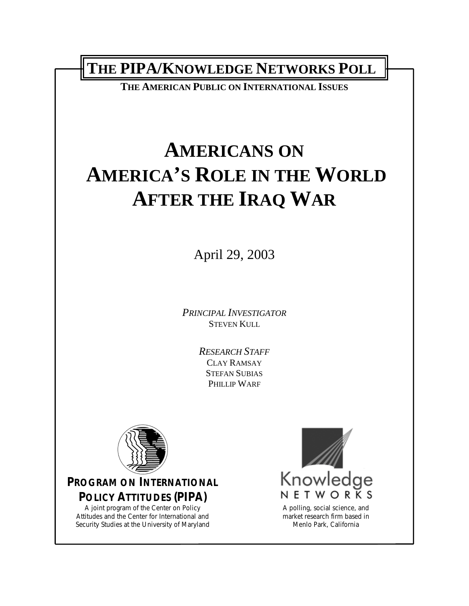**THE PIPA/KNOWLEDGE NETWORKS POLL** 

**THE AMERICAN PUBLIC ON INTERNATIONAL ISSUES**

# **AMERICANS ON AMERICA'S ROLE IN THE WORLD AFTER THE IRAQ WAR**

April 29, 2003

*PRINCIPAL INVESTIGATOR* STEVEN KULL

> *RESEARCH STAFF* CLAY RAMSAY STEFAN SUBIAS PHILLIP WARF



## **PROGRAM ON INTERNATIONAL POLICY ATTITUDES (PIPA)**

A joint program of the Center on Policy Attitudes and the Center for International and Security Studies at the University of Maryland



A polling, social science, and market research firm based in Menlo Park, California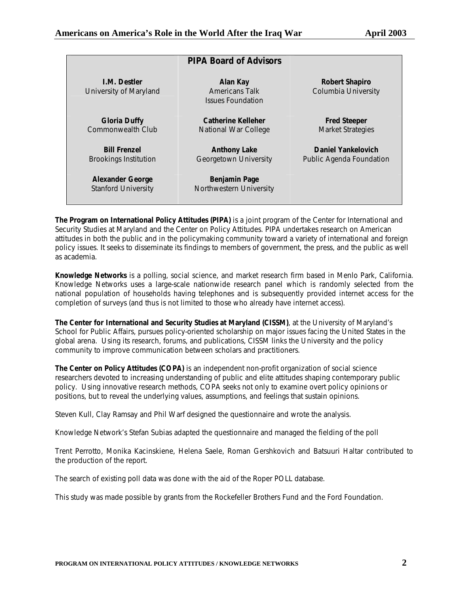|                                                       | <b>PIPA Board of Advisors</b>                                 |                                                 |
|-------------------------------------------------------|---------------------------------------------------------------|-------------------------------------------------|
| <b>I.M. Destler</b><br>University of Maryland         | Alan Kay<br><b>Americans Talk</b><br><b>Issues Foundation</b> | Robert Shapiro<br>Columbia University           |
| <b>Gloria Duffy</b><br>Commonwealth Club              | <b>Catherine Kelleher</b><br>National War College             | <b>Fred Steeper</b><br><b>Market Strategies</b> |
| <b>Bill Frenzel</b><br><b>Brookings Institution</b>   | <b>Anthony Lake</b><br>Georgetown University                  | Daniel Yankelovich<br>Public Agenda Foundation  |
| <b>Alexander George</b><br><b>Stanford University</b> | <b>Benjamin Page</b><br>Northwestern University               |                                                 |

**The Program on International Policy Attitudes (PIPA)** is a joint program of the Center for International and Security Studies at Maryland and the Center on Policy Attitudes. PIPA undertakes research on American attitudes in both the public and in the policymaking community toward a variety of international and foreign policy issues. It seeks to disseminate its findings to members of government, the press, and the public as well as academia.

**Knowledge Networks** is a polling, social science, and market research firm based in Menlo Park, California. Knowledge Networks uses a large-scale nationwide research panel which is randomly selected from the national population of households having telephones and is subsequently provided internet access for the completion of surveys (and thus is not limited to those who already have internet access).

**The Center for International and Security Studies at Maryland (CISSM)**, at the University of Maryland's School for Public Affairs, pursues policy-oriented scholarship on major issues facing the United States in the global arena. Using its research, forums, and publications, CISSM links the University and the policy community to improve communication between scholars and practitioners.

**The Center on Policy Attitudes (COPA)** is an independent non-profit organization of social science researchers devoted to increasing understanding of public and elite attitudes shaping contemporary public policy. Using innovative research methods, COPA seeks not only to examine overt policy opinions or positions, but to reveal the underlying values, assumptions, and feelings that sustain opinions.

Steven Kull, Clay Ramsay and Phil Warf designed the questionnaire and wrote the analysis.

Knowledge Network's Stefan Subias adapted the questionnaire and managed the fielding of the poll

Trent Perrotto, Monika Kacinskiene, Helena Saele, Roman Gershkovich and Batsuuri Haltar contributed to the production of the report.

The search of existing poll data was done with the aid of the Roper POLL database.

This study was made possible by grants from the Rockefeller Brothers Fund and the Ford Foundation.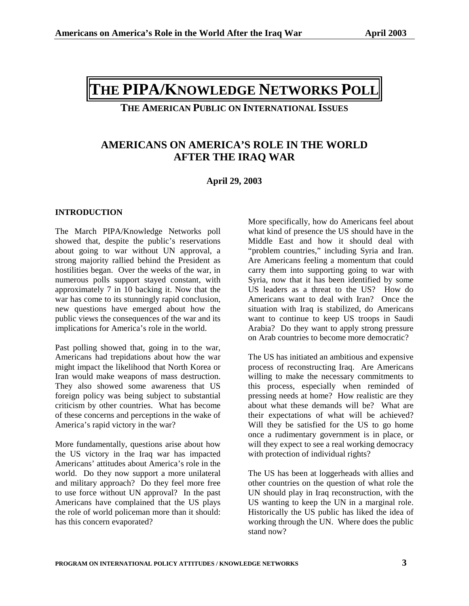# **THE PIPA/KNOWLEDGE NETWORKS POLL**

**THE AMERICAN PUBLIC ON INTERNATIONAL ISSUES**

### **AMERICANS ON AMERICA'S ROLE IN THE WORLD AFTER THE IRAQ WAR**

#### **April 29, 2003**

#### **INTRODUCTION**

The March PIPA/Knowledge Networks poll showed that, despite the public's reservations about going to war without UN approval, a strong majority rallied behind the President as hostilities began. Over the weeks of the war, in numerous polls support stayed constant, with approximately 7 in 10 backing it. Now that the war has come to its stunningly rapid conclusion, new questions have emerged about how the public views the consequences of the war and its implications for America's role in the world.

Past polling showed that, going in to the war, Americans had trepidations about how the war might impact the likelihood that North Korea or Iran would make weapons of mass destruction. They also showed some awareness that US foreign policy was being subject to substantial criticism by other countries. What has become of these concerns and perceptions in the wake of America's rapid victory in the war?

More fundamentally, questions arise about how the US victory in the Iraq war has impacted Americans' attitudes about America's role in the world. Do they now support a more unilateral and military approach? Do they feel more free to use force without UN approval? In the past Americans have complained that the US plays the role of world policeman more than it should: has this concern evaporated?

More specifically, how do Americans feel about what kind of presence the US should have in the Middle East and how it should deal with "problem countries," including Syria and Iran. Are Americans feeling a momentum that could carry them into supporting going to war with Syria, now that it has been identified by some US leaders as a threat to the US? How do Americans want to deal with Iran? Once the situation with Iraq is stabilized, do Americans want to continue to keep US troops in Saudi Arabia? Do they want to apply strong pressure on Arab countries to become more democratic?

The US has initiated an ambitious and expensive process of reconstructing Iraq. Are Americans willing to make the necessary commitments to this process, especially when reminded of pressing needs at home? How realistic are they about what these demands will be? What are their expectations of what will be achieved? Will they be satisfied for the US to go home once a rudimentary government is in place, or will they expect to see a real working democracy with protection of individual rights?

The US has been at loggerheads with allies and other countries on the question of what role the UN should play in Iraq reconstruction, with the US wanting to keep the UN in a marginal role. Historically the US public has liked the idea of working through the UN. Where does the public stand now?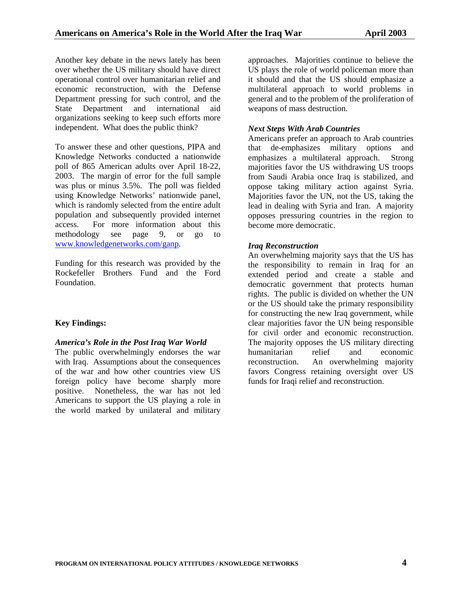Another key debate in the news lately has been over whether the US military should have direct operational control over humanitarian relief and economic reconstruction, with the Defense Department pressing for such control, and the State Department and international aid organizations seeking to keep such efforts more independent. What does the public think?

To answer these and other questions, PIPA and Knowledge Networks conducted a nationwide poll of 865 American adults over April 18-22, 2003. The margin of error for the full sample was plus or minus 3.5%. The poll was fielded using Knowledge Networks' nationwide panel, which is randomly selected from the entire adult population and subsequently provided internet access. For more information about this methodology see page 9, or go to [www.knowledgenetworks.com/ganp.](http://www.knowledgenetworks.com/ganp)

Funding for this research was provided by the Rockefeller Brothers Fund and the Ford Foundation.

#### **Key Findings:**

#### *America's Role in the Post Iraq War World*

The public overwhelmingly endorses the war with Iraq. Assumptions about the consequences of the war and how other countries view US foreign policy have become sharply more positive. Nonetheless, the war has not led Americans to support the US playing a role in the world marked by unilateral and military

approaches. Majorities continue to believe the US plays the role of world policeman more than it should and that the US should emphasize a multilateral approach to world problems in general and to the problem of the proliferation of weapons of mass destruction.

#### *Next Steps With Arab Countries*

Americans prefer an approach to Arab countries that de-emphasizes military options and emphasizes a multilateral approach. Strong majorities favor the US withdrawing US troops from Saudi Arabia once Iraq is stabilized, and oppose taking military action against Syria. Majorities favor the UN, not the US, taking the lead in dealing with Syria and Iran. A majority opposes pressuring countries in the region to become more democratic.

#### *Iraq Reconstruction*

An overwhelming majority says that the US has the responsibility to remain in Iraq for an extended period and create a stable and democratic government that protects human rights. The public is divided on whether the UN or the US should take the primary responsibility for constructing the new Iraq government, while clear majorities favor the UN being responsible for civil order and economic reconstruction. The majority opposes the US military directing humanitarian relief and economic reconstruction. An overwhelming majority favors Congress retaining oversight over US funds for Iraqi relief and reconstruction.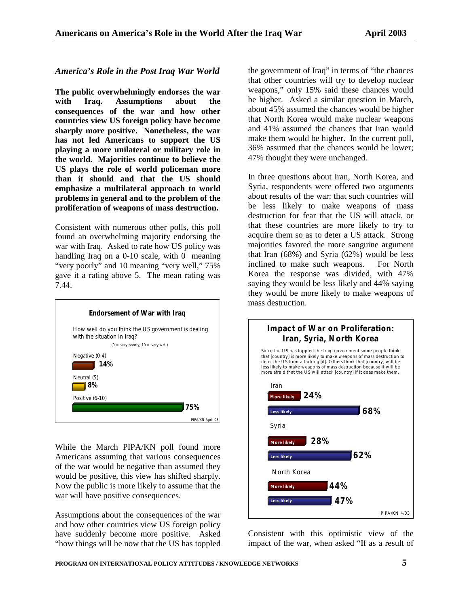#### *America's Role in the Post Iraq War World*

**The public overwhelmingly endorses the war with Iraq. Assumptions about the consequences of the war and how other countries view US foreign policy have become sharply more positive. Nonetheless, the war has not led Americans to support the US playing a more unilateral or military role in the world. Majorities continue to believe the US plays the role of world policeman more than it should and that the US should emphasize a multilateral approach to world problems in general and to the problem of the proliferation of weapons of mass destruction.** 

Consistent with numerous other polls, this poll found an overwhelming majority endorsing the war with Iraq. Asked to rate how US policy was handling Iraq on a 0-10 scale, with 0 meaning "very poorly" and 10 meaning "very well," 75% gave it a rating above 5. The mean rating was 7.44.



While the March PIPA/KN poll found more Americans assuming that various consequences of the war would be negative than assumed they would be positive, this view has shifted sharply. Now the public is more likely to assume that the war will have positive consequences.

Assumptions about the consequences of the war and how other countries view US foreign policy have suddenly become more positive. Asked "how things will be now that the US has toppled the government of Iraq" in terms of "the chances that other countries will try to develop nuclear weapons," only 15% said these chances would be higher. Asked a similar question in March, about 45% assumed the chances would be higher that North Korea would make nuclear weapons and 41% assumed the chances that Iran would make them would be higher. In the current poll, 36% assumed that the chances would be lower; 47% thought they were unchanged.

In three questions about Iran, North Korea, and Syria, respondents were offered two arguments about results of the war: that such countries will be less likely to make weapons of mass destruction for fear that the US will attack, or that these countries are more likely to try to acquire them so as to deter a US attack. Strong majorities favored the more sanguine argument that Iran (68%) and Syria (62%) would be less inclined to make such weapons. For North Korea the response was divided, with 47% saying they would be less likely and 44% saying they would be more likely to make weapons of mass destruction.



Consistent with this optimistic view of the impact of the war, when asked "If as a result of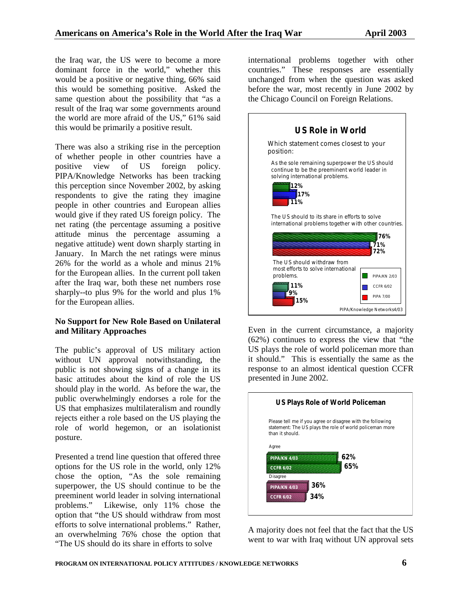the Iraq war, the US were to become a more dominant force in the world," whether this would be a positive or negative thing, 66% said this would be something positive. Asked the same question about the possibility that "as a result of the Iraq war some governments around the world are more afraid of the US," 61% said this would be primarily a positive result.

There was also a striking rise in the perception of whether people in other countries have a positive view of US foreign policy. PIPA/Knowledge Networks has been tracking this perception since November 2002, by asking respondents to give the rating they imagine people in other countries and European allies would give if they rated US foreign policy. The net rating (the percentage assuming a positive attitude minus the percentage assuming a negative attitude) went down sharply starting in January. In March the net ratings were minus 26% for the world as a whole and minus 21% for the European allies. In the current poll taken after the Iraq war, both these net numbers rose sharply--to plus 9% for the world and plus 1% for the European allies.

#### **No Support for New Role Based on Unilateral and Military Approaches**

The public's approval of US military action without UN approval notwithstanding, the public is not showing signs of a change in its basic attitudes about the kind of role the US should play in the world. As before the war, the public overwhelmingly endorses a role for the US that emphasizes multilateralism and roundly rejects either a role based on the US playing the role of world hegemon, or an isolationist posture.

Presented a trend line question that offered three options for the US role in the world, only 12% chose the option, "As the sole remaining superpower, the US should continue to be the preeminent world leader in solving international problems." Likewise, only 11% chose the option that "the US should withdraw from most efforts to solve international problems." Rather, an overwhelming 76% chose the option that "The US should do its share in efforts to solve

international problems together with other countries." These responses are essentially unchanged from when the question was asked before the war, most recently in June 2002 by the Chicago Council on Foreign Relations.



Even in the current circumstance, a majority (62%) continues to express the view that "the US plays the role of world policeman more than it should." This is essentially the same as the response to an almost identical question CCFR presented in June 2002.



A majority does not feel that the fact that the US went to war with Iraq without UN approval sets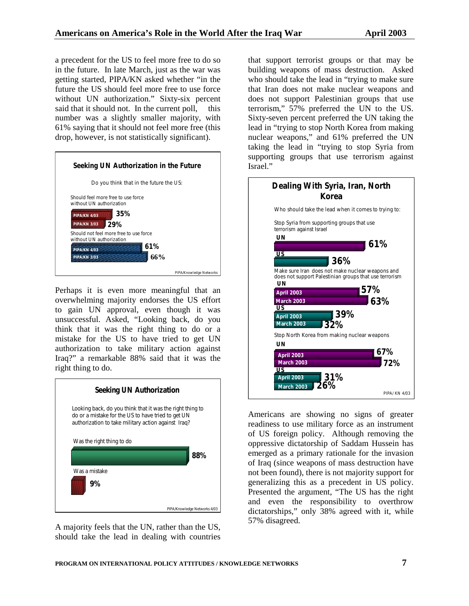a precedent for the US to feel more free to do so in the future. In late March, just as the war was getting started, PIPA/KN asked whether "in the future the US should feel more free to use force without UN authorization." Sixty-six percent said that it should not. In the current poll, this number was a slightly smaller majority, with 61% saying that it should not feel more free (this drop, however, is not statistically significant).

| Seeking UN Authorization in the Future                             |
|--------------------------------------------------------------------|
| Do you think that in the future the US:                            |
| Should feel more free to use force<br>without UN authorization     |
| 35%<br><b>PIPA/KN 4/03</b>                                         |
| 29%<br><b>PIPA/KN 3/03</b>                                         |
| Should not feel more free to use force<br>without UN authorization |
| 61%<br><b>PIPA/KN 4/03</b>                                         |
| 66%<br><b>PIPA/KN 3/03</b>                                         |
| PIPA/Knowledge Networks                                            |

Perhaps it is even more meaningful that an overwhelming majority endorses the US effort to gain UN approval, even though it was unsuccessful. Asked, "Looking back, do you think that it was the right thing to do or a mistake for the US to have tried to get UN authorization to take military action against Iraq?" a remarkable 88% said that it was the right thing to do.



A majority feels that the UN, rather than the US, should take the lead in dealing with countries that support terrorist groups or that may be building weapons of mass destruction. Asked who should take the lead in "trying to make sure that Iran does not make nuclear weapons and does not support Palestinian groups that use terrorism," 57% preferred the UN to the US. Sixty-seven percent preferred the UN taking the lead in "trying to stop North Korea from making nuclear weapons," and 61% preferred the UN taking the lead in "trying to stop Syria from supporting groups that use terrorism against Israel."



Americans are showing no signs of greater readiness to use military force as an instrument of US foreign policy. Although removing the oppressive dictatorship of Saddam Hussein has emerged as a primary rationale for the invasion of Iraq (since weapons of mass destruction have not been found), there is not majority support for generalizing this as a precedent in US policy. Presented the argument, "The US has the right and even the responsibility to overthrow dictatorships," only 38% agreed with it, while 57% disagreed.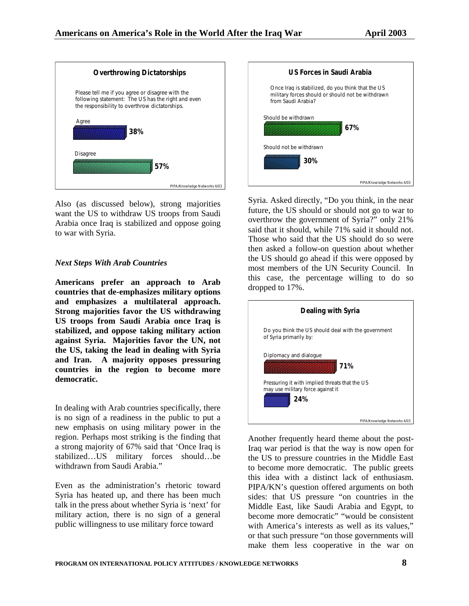

Also (as discussed below), strong majorities want the US to withdraw US troops from Saudi Arabia once Iraq is stabilized and oppose going to war with Syria.

#### *Next Steps With Arab Countries*

**Americans prefer an approach to Arab countries that de-emphasizes military options and emphasizes a multilateral approach. Strong majorities favor the US withdrawing US troops from Saudi Arabia once Iraq is stabilized, and oppose taking military action against Syria. Majorities favor the UN, not the US, taking the lead in dealing with Syria and Iran. A majority opposes pressuring countries in the region to become more democratic.** 

In dealing with Arab countries specifically, there is no sign of a readiness in the public to put a new emphasis on using military power in the region. Perhaps most striking is the finding that a strong majority of 67% said that 'Once Iraq is stabilized…US military forces should…be withdrawn from Saudi Arabia."

Even as the administration's rhetoric toward Syria has heated up, and there has been much talk in the press about whether Syria is 'next' for military action, there is no sign of a general public willingness to use military force toward



Syria. Asked directly, "Do you think, in the near future, the US should or should not go to war to overthrow the government of Syria?" only 21% said that it should, while 71% said it should not. Those who said that the US should do so were then asked a follow-on question about whether the US should go ahead if this were opposed by most members of the UN Security Council. In this case, the percentage willing to do so dropped to 17%.



Another frequently heard theme about the post-Iraq war period is that the way is now open for the US to pressure countries in the Middle East to become more democratic. The public greets this idea with a distinct lack of enthusiasm. PIPA/KN's question offered arguments on both sides: that US pressure "on countries in the Middle East, like Saudi Arabia and Egypt, to become more democratic" "would be consistent with America's interests as well as its values," or that such pressure "on those governments will make them less cooperative in the war on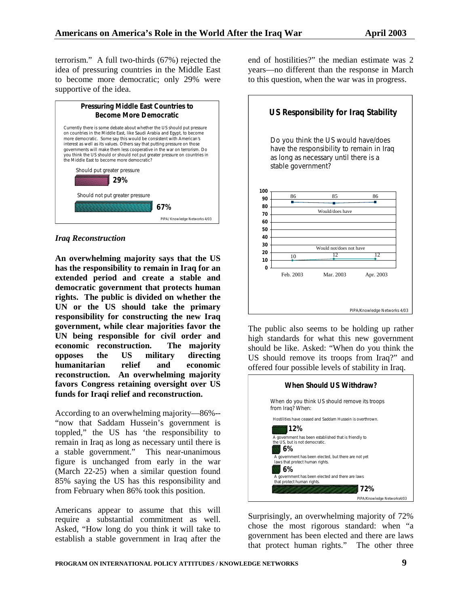terrorism." A full two-thirds (67%) rejected the idea of pressuring countries in the Middle East to become more democratic; only 29% were supportive of the idea.



#### *Iraq Reconstruction*

**An overwhelming majority says that the US has the responsibility to remain in Iraq for an extended period and create a stable and democratic government that protects human rights. The public is divided on whether the UN or the US should take the primary responsibility for constructing the new Iraq government, while clear majorities favor the UN being responsible for civil order and economic reconstruction. The majority opposes the US military directing humanitarian relief and economic reconstruction. An overwhelming majority favors Congress retaining oversight over US funds for Iraqi relief and reconstruction.** 

According to an overwhelming majority—86%-- "now that Saddam Hussein's government is toppled," the US has 'the responsibility to remain in Iraq as long as necessary until there is a stable government." This near-unanimous figure is unchanged from early in the war (March 22-25) when a similar question found 85% saying the US has this responsibility and from February when 86% took this position.

Americans appear to assume that this will require a substantial commitment as well. Asked, "How long do you think it will take to establish a stable government in Iraq after the

end of hostilities?" the median estimate was 2 years—no different than the response in March to this question, when the war was in progress.



The public also seems to be holding up rather high standards for what this new government should be like. Asked: "When do you think the US should remove its troops from Iraq?" and offered four possible levels of stability in Iraq.

|                                             | When Should US Withdraw?                                  |
|---------------------------------------------|-----------------------------------------------------------|
| from Iraq? When:                            | When do you think US should remove its troops             |
|                                             | Hostilities have ceased and Saddam Hussein is overthrown. |
| 12%<br>the US, but is not democratic.<br>6% | A government has been established that is friendly to     |
| laws that protect human rights.<br>6%       | A government has been elected, but there are not yet      |
| that protect human rights.                  | A government has been elected and there are laws<br>72%   |
|                                             | PIPA/Knowledge Networks4/03                               |

Surprisingly, an overwhelming majority of 72% chose the most rigorous standard: when "a government has been elected and there are laws that protect human rights." The other three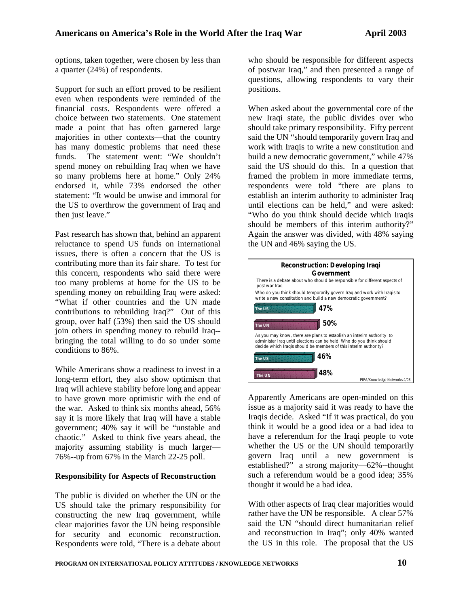options, taken together, were chosen by less than a quarter (24%) of respondents.

Support for such an effort proved to be resilient even when respondents were reminded of the financial costs. Respondents were offered a choice between two statements. One statement made a point that has often garnered large majorities in other contexts—that the country has many domestic problems that need these funds. The statement went: "We shouldn't spend money on rebuilding Iraq when we have so many problems here at home." Only 24% endorsed it, while 73% endorsed the other statement: "It would be unwise and immoral for the US to overthrow the government of Iraq and then just leave."

Past research has shown that, behind an apparent reluctance to spend US funds on international issues, there is often a concern that the US is contributing more than its fair share. To test for this concern, respondents who said there were too many problems at home for the US to be spending money on rebuilding Iraq were asked: "What if other countries and the UN made contributions to rebuilding Iraq?" Out of this group, over half (53%) then said the US should join others in spending money to rebuild Iraq- bringing the total willing to do so under some conditions to 86%.

While Americans show a readiness to invest in a long-term effort, they also show optimism that Iraq will achieve stability before long and appear to have grown more optimistic with the end of the war. Asked to think six months ahead, 56% say it is more likely that Iraq will have a stable government; 40% say it will be "unstable and chaotic." Asked to think five years ahead, the majority assuming stability is much larger— 76%--up from 67% in the March 22-25 poll.

#### **Responsibility for Aspects of Reconstruction**

The public is divided on whether the UN or the US should take the primary responsibility for constructing the new Iraq government, while clear majorities favor the UN being responsible for security and economic reconstruction. Respondents were told, "There is a debate about who should be responsible for different aspects of postwar Iraq," and then presented a range of questions, allowing respondents to vary their positions.

When asked about the governmental core of the new Iraqi state, the public divides over who should take primary responsibility. Fifty percent said the UN "should temporarily govern Iraq and work with Iraqis to write a new constitution and build a new democratic government," while 47% said the US should do this. In a question that framed the problem in more immediate terms, respondents were told "there are plans to establish an interim authority to administer Iraq until elections can be held," and were asked: "Who do you think should decide which Iraqis should be members of this interim authority?" Again the answer was divided, with 48% saying the UN and 46% saying the US.



Apparently Americans are open-minded on this issue as a majority said it was ready to have the Iraqis decide. Asked "If it was practical, do you think it would be a good idea or a bad idea to have a referendum for the Iraqi people to vote whether the US or the UN should temporarily govern Iraq until a new government is established?" a strong majority—62%--thought such a referendum would be a good idea; 35% thought it would be a bad idea.

With other aspects of Iraq clear majorities would rather have the UN be responsible. A clear 57% said the UN "should direct humanitarian relief and reconstruction in Iraq"; only 40% wanted the US in this role. The proposal that the US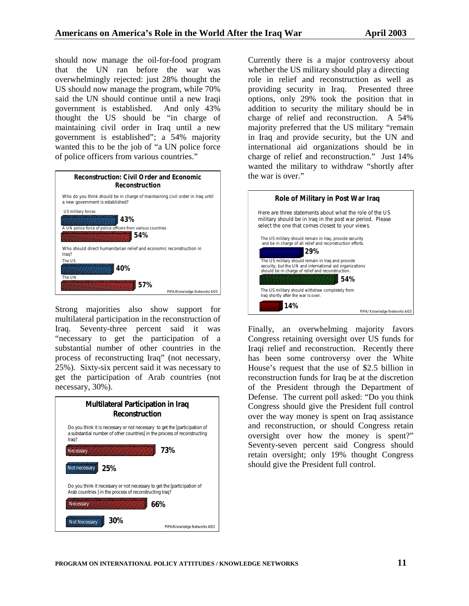should now manage the oil-for-food program that the UN ran before the war was overwhelmingly rejected: just 28% thought the US should now manage the program, while 70% said the UN should continue until a new Iraqi government is established. And only 43% thought the US should be "in charge of maintaining civil order in Iraq until a new government is established"; a 54% majority wanted this to be the job of "a UN police force of police officers from various countries."



Strong majorities also show support for multilateral participation in the reconstruction of Iraq. Seventy-three percent said it was "necessary to get the participation of a substantial number of other countries in the process of reconstructing Iraq" (not necessary, 25%). Sixty-six percent said it was necessary to get the participation of Arab countries (not necessary, 30%).

![](_page_10_Figure_5.jpeg)

Currently there is a major controversy about whether the US military should play a directing role in relief and reconstruction as well as providing security in Iraq. Presented three options, only 29% took the position that in addition to security the military should be in charge of relief and reconstruction. A 54% majority preferred that the US military "remain in Iraq and provide security, but the UN and international aid organizations should be in charge of relief and reconstruction." Just 14% wanted the military to withdraw "shortly after the war is over."

![](_page_10_Figure_7.jpeg)

Finally, an overwhelming majority favors Congress retaining oversight over US funds for Iraqi relief and reconstruction. Recently there has been some controversy over the White House's request that the use of \$2.5 billion in reconstruction funds for Iraq be at the discretion of the President through the Department of Defense. The current poll asked: "Do you think Congress should give the President full control over the way money is spent on Iraq assistance and reconstruction, or should Congress retain oversight over how the money is spent?" Seventy-seven percent said Congress should retain oversight; only 19% thought Congress should give the President full control.